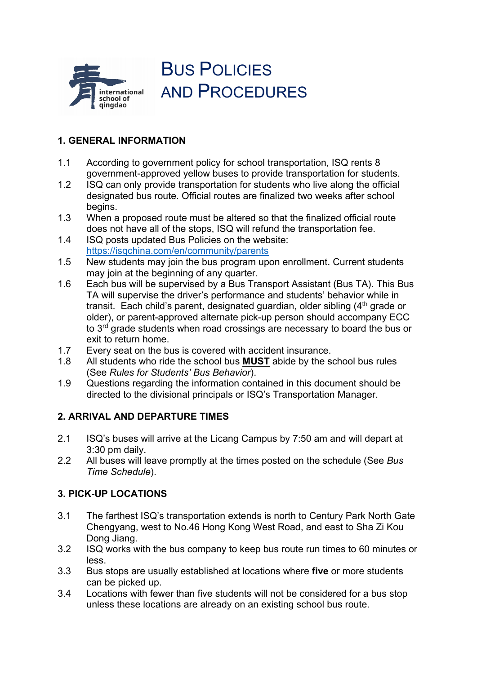

BUS POLICIES AND PROCEDURES

# **1. GENERAL INFORMATION**

- 1.1 According to government policy for school transportation, ISQ rents 8 government-approved yellow buses to provide transportation for students.
- 1.2 ISQ can only provide transportation for students who live along the official designated bus route. Official routes are finalized two weeks after school begins.
- 1.3 When a proposed route must be altered so that the finalized official route does not have all of the stops, ISQ will refund the transportation fee.
- 1.4 ISQ posts updated Bus Policies on the website: <https://isqchina.com/en/community/parents>
- 1.5 New students may join the bus program upon enrollment. Current students may join at the beginning of any quarter.
- 1.6 Each bus will be supervised by a Bus Transport Assistant (Bus TA). This Bus TA will supervise the driver's performance and students' behavior while in transit. Each child's parent, designated guardian, older sibling (4<sup>th</sup> grade or older), or parent-approved alternate pick-up person should accompany ECC to 3<sup>rd</sup> grade students when road crossings are necessary to board the bus or exit to return home.
- 1.7 Every seat on the bus is covered with accident insurance.
- 1.8 All students who ride the school bus **MUST** abide by the school bus rules (See *Rules for Students' Bus Behavior*).
- 1.9 Questions regarding the information contained in this document should be directed to the divisional principals or ISQ's Transportation Manager.

# **2. ARRIVAL AND DEPARTURE TIMES**

- 2.1 ISQ's buses will arrive at the Licang Campus by 7:50 am and will depart at 3:30 pm daily.
- 2.2 All buses will leave promptly at the times posted on the schedule (See *Bus Time Schedule*).

# **3. PICK-UP LOCATIONS**

- 3.1 The farthest ISQ's transportation extends is north to Century Park North Gate Chengyang, west to No.46 Hong Kong West Road, and east to Sha Zi Kou Dong Jiang.
- 3.2 ISQ works with the bus company to keep bus route run times to 60 minutes or less.
- 3.3 Bus stops are usually established at locations where **five** or more students can be picked up.
- 3.4 Locations with fewer than five students will not be considered for a bus stop unless these locations are already on an existing school bus route.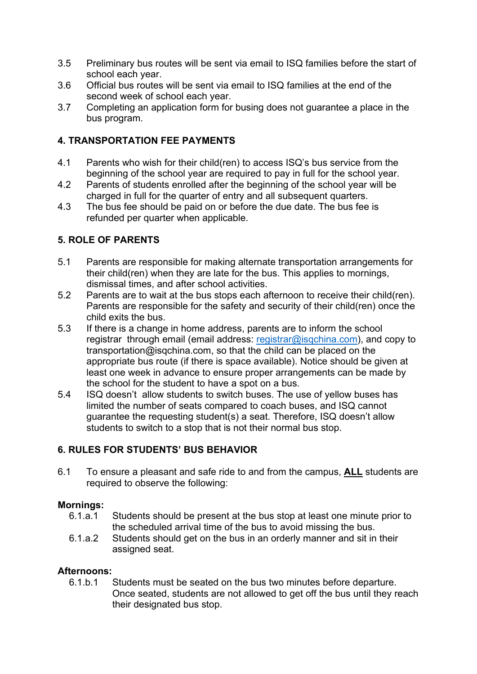- 3.5 Preliminary bus routes will be sent via email to ISQ families before the start of school each year.
- 3.6 Official bus routes will be sent via email to ISQ families at the end of the second week of school each year.
- 3.7 Completing an application form for busing does not guarantee a place in the bus program.

## **4. TRANSPORTATION FEE PAYMENTS**

- 4.1 Parents who wish for their child(ren) to access ISQ's bus service from the beginning of the school year are required to pay in full for the school year.
- 4.2 Parents of students enrolled after the beginning of the school year will be charged in full for the quarter of entry and all subsequent quarters.
- 4.3 The bus fee should be paid on or before the due date. The bus fee is refunded per quarter when applicable.

## **5. ROLE OF PARENTS**

- 5.1 Parents are responsible for making alternate transportation arrangements for their child(ren) when they are late for the bus. This applies to mornings, dismissal times, and after school activities.
- 5.2 Parents are to wait at the bus stops each afternoon to receive their child(ren). Parents are responsible for the safety and security of their child(ren) once the child exits the bus.
- 5.3 If there is a change in home address, parents are to inform the school registrar through email (email address: [registrar@isqchina.com\)](mailto:registrar@isqchina.com), and copy to transportation@isqchina.com, so that the child can be placed on the appropriate bus route (if there is space available). Notice should be given at least one week in advance to ensure proper arrangements can be made by the school for the student to have a spot on a bus.
- 5.4 ISQ doesn't allow students to switch buses. The use of yellow buses has limited the number of seats compared to coach buses, and ISQ cannot guarantee the requesting student(s) a seat. Therefore, ISQ doesn't allow students to switch to a stop that is not their normal bus stop.

# **6. RULES FOR STUDENTS' BUS BEHAVIOR**

6.1 To ensure a pleasant and safe ride to and from the campus, **ALL** students are required to observe the following:

# **Mornings:**

- Students should be present at the bus stop at least one minute prior to the scheduled arrival time of the bus to avoid missing the bus.
- 6.1.a.2 Students should get on the bus in an orderly manner and sit in their assigned seat.

## **Afternoons:**

6.1.b.1 Students must be seated on the bus two minutes before departure. Once seated, students are not allowed to get off the bus until they reach their designated bus stop.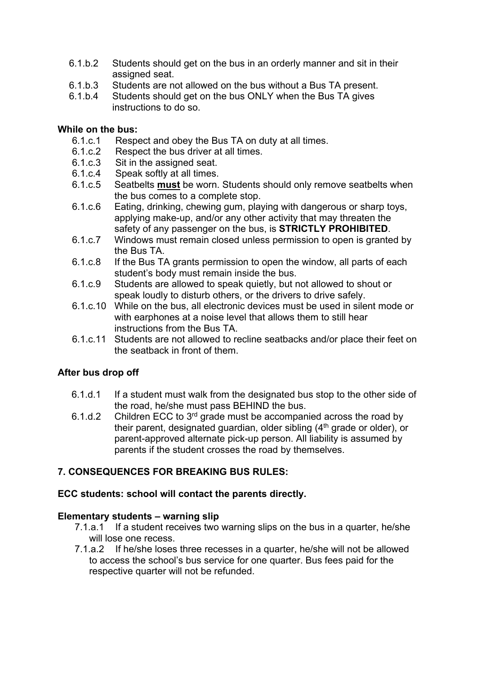- 6.1.b.2 Students should get on the bus in an orderly manner and sit in their assigned seat.
- 6.1.b.3 Students are not allowed on the bus without a Bus TA present.
- 6.1.b.4 Students should get on the bus ONLY when the Bus TA gives instructions to do so.

#### **While on the bus:**

- 6.1.c.1 Respect and obey the Bus TA on duty at all times.
- 6.1.c.2 Respect the bus driver at all times.
- 6.1.c.3 Sit in the assigned seat.
- 6.1.c.4 Speak softly at all times.
- 6.1.c.5 Seatbelts **must** be worn. Students should only remove seatbelts when the bus comes to a complete stop.
- 6.1.c.6 Eating, drinking, chewing gum, playing with dangerous or sharp toys, applying make-up, and/or any other activity that may threaten the safety of any passenger on the bus, is **STRICTLY PROHIBITED**.
- 6.1.c.7 Windows must remain closed unless permission to open is granted by the Bus TA.
- 6.1.c.8 If the Bus TA grants permission to open the window, all parts of each student's body must remain inside the bus.
- 6.1.c.9 Students are allowed to speak quietly, but not allowed to shout or speak loudly to disturb others, or the drivers to drive safely.
- 6.1.c.10 While on the bus, all electronic devices must be used in silent mode or with earphones at a noise level that allows them to still hear instructions from the Bus TA.
- 6.1.c.11 Students are not allowed to recline seatbacks and/or place their feet on the seatback in front of them.

### **After bus drop off**

- 6.1.d.1 If a student must walk from the designated bus stop to the other side of the road, he/she must pass BEHIND the bus.
- 6.1.d.2 Children ECC to  $3<sup>rd</sup>$  grade must be accompanied across the road by their parent, designated guardian, older sibling (4<sup>th</sup> grade or older), or parent-approved alternate pick-up person. All liability is assumed by parents if the student crosses the road by themselves.

## **7. CONSEQUENCES FOR BREAKING BUS RULES:**

### **ECC students: school will contact the parents directly.**

### **Elementary students – warning slip**

- 7.1.a.1 If a student receives two warning slips on the bus in a quarter, he/she will lose one recess.
- 7.1.a.2 If he/she loses three recesses in a quarter, he/she will not be allowed to access the school's bus service for one quarter. Bus fees paid for the respective quarter will not be refunded.